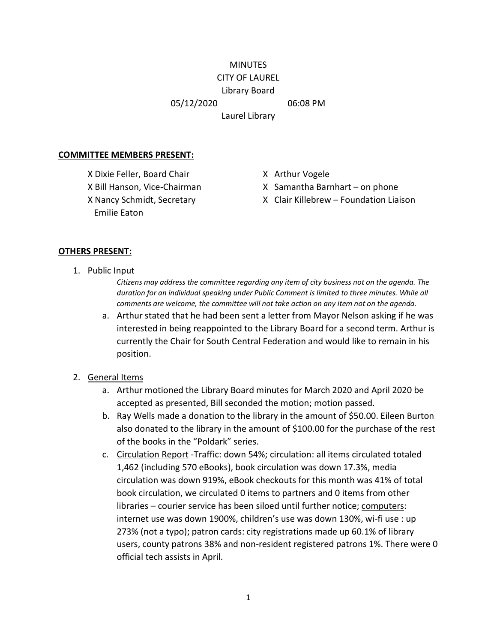#### **MINUTES** CITY OF LAUREL

# Library Board

05/12/2020 06:08 PM

Laurel Library

### **COMMITTEE MEMBERS PRESENT:**

X Dixie Feller, Board Chair X Arthur Vogele Emilie Eaton

- 
- X Bill Hanson, Vice-Chairman X Samantha Barnhart on phone
- X Nancy Schmidt, Secretary X Clair Killebrew Foundation Liaison

## **OTHERS PRESENT:**

1. Public Input

*Citizens may address the committee regarding any item of city business not on the agenda. The duration for an individual speaking under Public Comment is limited to three minutes. While all comments are welcome, the committee will not take action on any item not on the agenda.*

- a. Arthur stated that he had been sent a letter from Mayor Nelson asking if he was interested in being reappointed to the Library Board for a second term. Arthur is currently the Chair for South Central Federation and would like to remain in his position.
- 2. General Items
	- a. Arthur motioned the Library Board minutes for March 2020 and April 2020 be accepted as presented, Bill seconded the motion; motion passed.
	- b. Ray Wells made a donation to the library in the amount of \$50.00. Eileen Burton also donated to the library in the amount of \$100.00 for the purchase of the rest of the books in the "Poldark" series.
	- c. Circulation Report -Traffic: down 54%; circulation: all items circulated totaled 1,462 (including 570 eBooks), book circulation was down 17.3%, media circulation was down 919%, eBook checkouts for this month was 41% of total book circulation, we circulated 0 items to partners and 0 items from other libraries – courier service has been siloed until further notice; computers: internet use was down 1900%, children's use was down 130%, wi-fi use : up 273% (not a typo); patron cards: city registrations made up 60.1% of library users, county patrons 38% and non-resident registered patrons 1%. There were 0 official tech assists in April.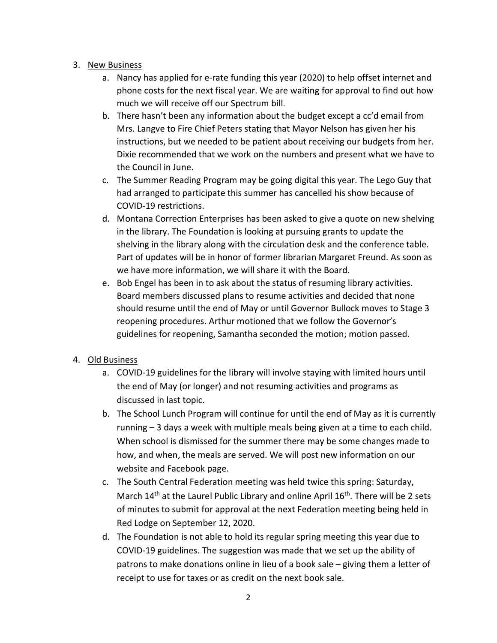## 3. New Business

- a. Nancy has applied for e-rate funding this year (2020) to help offset internet and phone costs for the next fiscal year. We are waiting for approval to find out how much we will receive off our Spectrum bill.
- b. There hasn't been any information about the budget except a cc'd email from Mrs. Langve to Fire Chief Peters stating that Mayor Nelson has given her his instructions, but we needed to be patient about receiving our budgets from her. Dixie recommended that we work on the numbers and present what we have to the Council in June.
- c. The Summer Reading Program may be going digital this year. The Lego Guy that had arranged to participate this summer has cancelled his show because of COVID-19 restrictions.
- d. Montana Correction Enterprises has been asked to give a quote on new shelving in the library. The Foundation is looking at pursuing grants to update the shelving in the library along with the circulation desk and the conference table. Part of updates will be in honor of former librarian Margaret Freund. As soon as we have more information, we will share it with the Board.
- e. Bob Engel has been in to ask about the status of resuming library activities. Board members discussed plans to resume activities and decided that none should resume until the end of May or until Governor Bullock moves to Stage 3 reopening procedures. Arthur motioned that we follow the Governor's guidelines for reopening, Samantha seconded the motion; motion passed.

# 4. Old Business

- a. COVID-19 guidelines for the library will involve staying with limited hours until the end of May (or longer) and not resuming activities and programs as discussed in last topic.
- b. The School Lunch Program will continue for until the end of May as it is currently running – 3 days a week with multiple meals being given at a time to each child. When school is dismissed for the summer there may be some changes made to how, and when, the meals are served. We will post new information on our website and Facebook page.
- c. The South Central Federation meeting was held twice this spring: Saturday, March  $14<sup>th</sup>$  at the Laurel Public Library and online April  $16<sup>th</sup>$ . There will be 2 sets of minutes to submit for approval at the next Federation meeting being held in Red Lodge on September 12, 2020.
- d. The Foundation is not able to hold its regular spring meeting this year due to COVID-19 guidelines. The suggestion was made that we set up the ability of patrons to make donations online in lieu of a book sale – giving them a letter of receipt to use for taxes or as credit on the next book sale.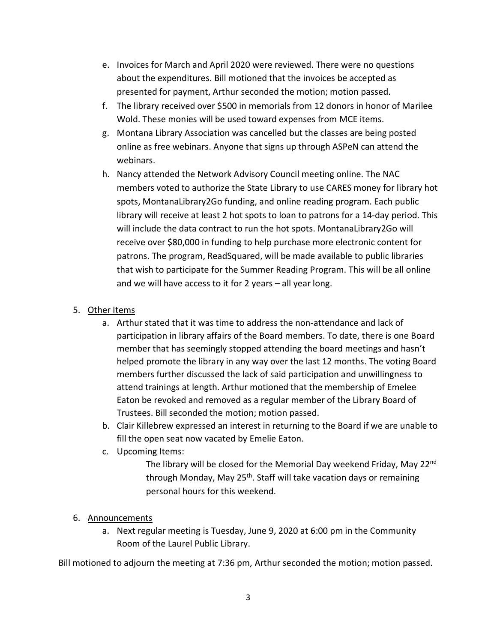- e. Invoices for March and April 2020 were reviewed. There were no questions about the expenditures. Bill motioned that the invoices be accepted as presented for payment, Arthur seconded the motion; motion passed.
- f. The library received over \$500 in memorials from 12 donors in honor of Marilee Wold. These monies will be used toward expenses from MCE items.
- g. Montana Library Association was cancelled but the classes are being posted online as free webinars. Anyone that signs up through ASPeN can attend the webinars.
- h. Nancy attended the Network Advisory Council meeting online. The NAC members voted to authorize the State Library to use CARES money for library hot spots, MontanaLibrary2Go funding, and online reading program. Each public library will receive at least 2 hot spots to loan to patrons for a 14-day period. This will include the data contract to run the hot spots. MontanaLibrary2Go will receive over \$80,000 in funding to help purchase more electronic content for patrons. The program, ReadSquared, will be made available to public libraries that wish to participate for the Summer Reading Program. This will be all online and we will have access to it for 2 years – all year long.

# 5. Other Items

- a. Arthur stated that it was time to address the non-attendance and lack of participation in library affairs of the Board members. To date, there is one Board member that has seemingly stopped attending the board meetings and hasn't helped promote the library in any way over the last 12 months. The voting Board members further discussed the lack of said participation and unwillingness to attend trainings at length. Arthur motioned that the membership of Emelee Eaton be revoked and removed as a regular member of the Library Board of Trustees. Bill seconded the motion; motion passed.
- b. Clair Killebrew expressed an interest in returning to the Board if we are unable to fill the open seat now vacated by Emelie Eaton.
- c. Upcoming Items:

The library will be closed for the Memorial Day weekend Friday, May 22<sup>nd</sup> through Monday, May 25<sup>th</sup>. Staff will take vacation days or remaining personal hours for this weekend.

# 6. Announcements

a. Next regular meeting is Tuesday, June 9, 2020 at 6:00 pm in the Community Room of the Laurel Public Library.

Bill motioned to adjourn the meeting at 7:36 pm, Arthur seconded the motion; motion passed.